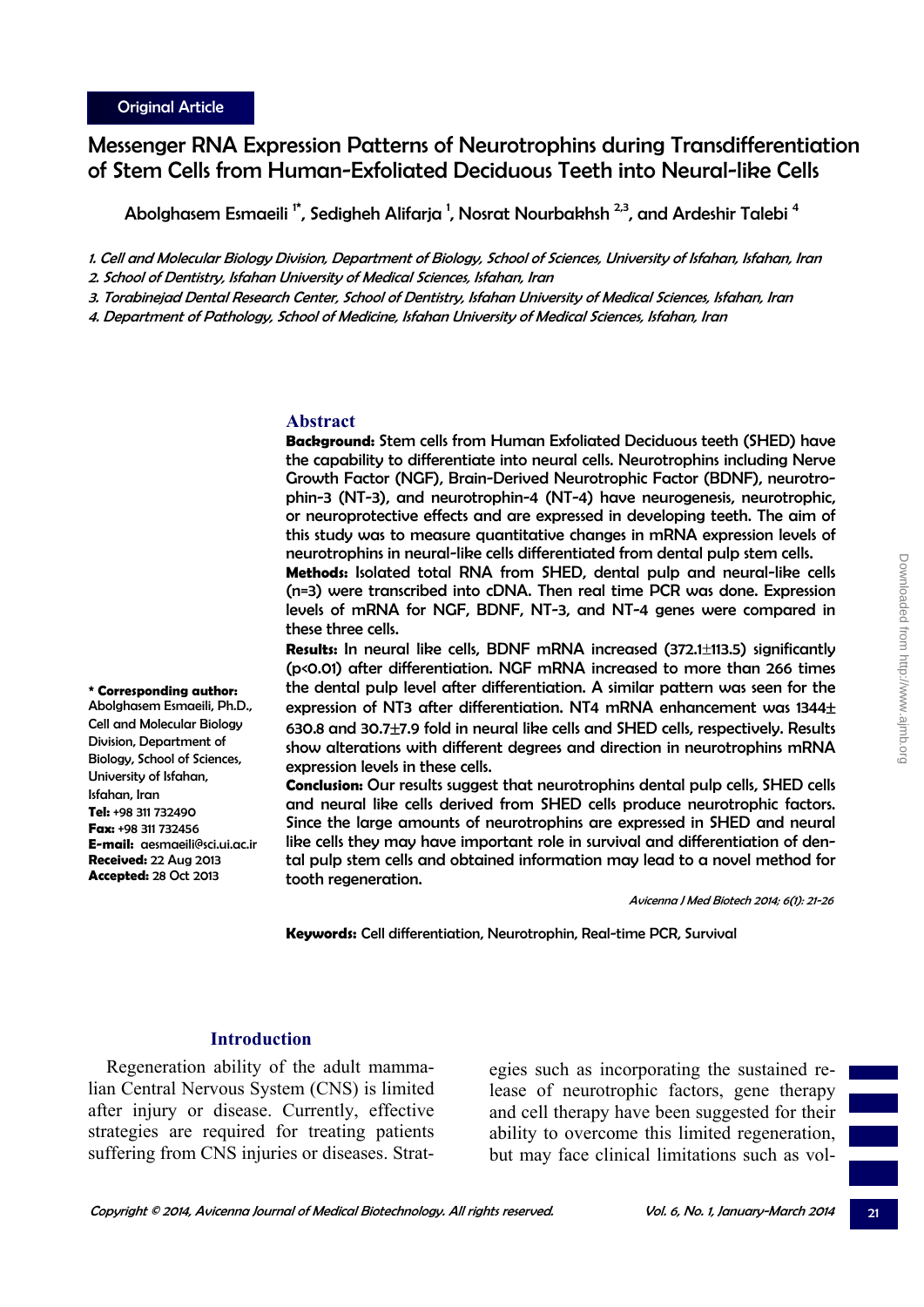**\* Corresponding author:**  Abolghasem Esmaeili, Ph.D., Cell and Molecular Biology Division, Department of Biology, School of Sciences, University of Isfahan,

**E-mail:** aesmaeili@sci.ui.ac.ir **Received:** 22 Aug 2013 **Accepted:** 28 Oct 2013

Isfahan, Iran **Tel:** +98 311 732490 **Fax:** +98 311 732456

# Messenger RNA Expression Patterns of Neurotrophins during Transdifferentiation of Stem Cells from Human-Exfoliated Deciduous Teeth into Neural-like Cells

Abolghasem Esmaeili <sup>1\*</sup>, Sedigheh Alifarja <sup>1</sup>, Nosrat Nourbakhsh <sup>2,3</sup>, and Ardeshir Talebi <sup>4</sup>

1. Cell and Molecular Biology Division, Department of Biology, School of Sciences, University of Isfahan, Isfahan, Iran

- 2. School of Dentistry, Isfahan University of Medical Sciences, Isfahan, Iran
- 3. Torabinejad Dental Research Center, School of Dentistry, Isfahan University of Medical Sciences, Isfahan, Iran
- 4. Department of Pathology, School of Medicine, Isfahan University of Medical Sciences, Isfahan, Iran

#### **Abstract**

**Background:** Stem cells from Human Exfoliated Deciduous teeth (SHED) have the capability to differentiate into neural cells. Neurotrophins including Nerve Growth Factor (NGF), Brain-Derived Neurotrophic Factor (BDNF), neurotrophin-3 (NT-3), and neurotrophin-4 (NT-4) have neurogenesis, neurotrophic, or neuroprotective effects and are expressed in developing teeth. The aim of this study was to measure quantitative changes in mRNA expression levels of neurotrophins in neural-like cells differentiated from dental pulp stem cells.

**Methods:** Isolated total RNA from SHED, dental pulp and neural-like cells (n=3) were transcribed into cDNA. Then real time PCR was done. Expression levels of mRNA for NGF, BDNF, NT-3, and NT-4 genes were compared in these three cells.

**Results:** In neural like cells, BDNF mRNA increased (372.1±113.5) significantly (p<0.01) after differentiation. NGF mRNA increased to more than 266 times the dental pulp level after differentiation. A similar pattern was seen for the expression of NT3 after differentiation. NT4 mRNA enhancement was 1344 $\pm$ 630.8 and 30.7±7.9 fold in neural like cells and SHED cells, respectively. Results show alterations with different degrees and direction in neurotrophins mRNA expression levels in these cells.

**Conclusion:** Our results suggest that neurotrophins dental pulp cells, SHED cells and neural like cells derived from SHED cells produce neurotrophic factors. Since the large amounts of neurotrophins are expressed in SHED and neural like cells they may have important role in survival and differentiation of dental pulp stem cells and obtained information may lead to a novel method for tooth regeneration.

Avicenna J Med Biotech 2014; 6(1): 21-26

**Keywords:** Cell differentiation, Neurotrophin, Real-time PCR, Survival

# **Introduction**

Regeneration ability of the adult mammalian Central Nervous System (CNS) is limited after injury or disease. Currently, effective strategies are required for treating patients suffering from CNS injuries or diseases. Strat-

egies such as incorporating the sustained release of neurotrophic factors, gene therapy and cell therapy have been suggested for their ability to overcome this limited regeneration, but may face clinical limitations such as vol-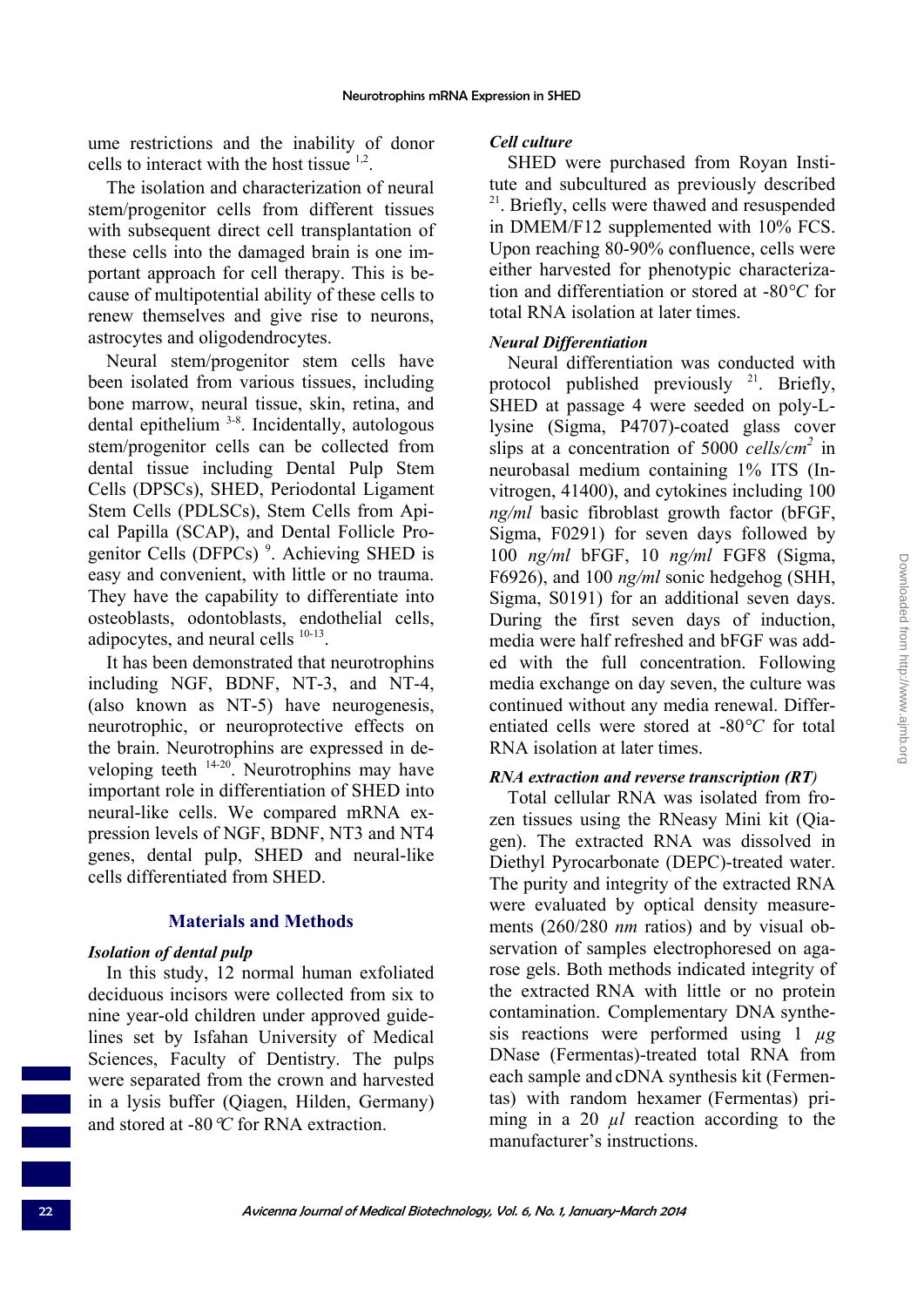ume restrictions and the inability of donor cells to interact with the host tissue  $1,2$ .

The isolation and characterization of neural stem/progenitor cells from different tissues with subsequent direct cell transplantation of these cells into the damaged brain is one important approach for cell therapy. This is because of multipotential ability of these cells to renew themselves and give rise to neurons, astrocytes and oligodendrocytes.

Neural stem/progenitor stem cells have been isolated from various tissues, including bone marrow, neural tissue, skin, retina, and dental epithelium 3-8. Incidentally, autologous stem/progenitor cells can be collected from dental tissue including Dental Pulp Stem Cells (DPSCs), SHED, Periodontal Ligament Stem Cells (PDLSCs), Stem Cells from Apical Papilla (SCAP), and Dental Follicle Progenitor Cells (DFPCs)<sup>9</sup>. Achieving SHED is easy and convenient, with little or no trauma. They have the capability to differentiate into osteoblasts, odontoblasts, endothelial cells, adipocytes, and neural cells 10-13.

It has been demonstrated that neurotrophins including NGF, BDNF, NT-3, and NT-4, (also known as NT-5) have neurogenesis, neurotrophic, or neuroprotective effects on the brain. Neurotrophins are expressed in developing teeth 14-20. Neurotrophins may have important role in differentiation of SHED into neural-like cells. We compared mRNA expression levels of NGF, BDNF, NT3 and NT4 genes, dental pulp, SHED and neural-like cells differentiated from SHED.

#### **Materials and Methods**

#### *Isolation of dental pulp*

In this study, 12 normal human exfoliated deciduous incisors were collected from six to nine year-old children under approved guidelines set by Isfahan University of Medical Sciences, Faculty of Dentistry. The pulps were separated from the crown and harvested in a lysis buffer (Qiagen, Hilden, Germany) and stored at -80°*C* for RNA extraction.

#### *Cell culture*

SHED were purchased from Royan Institute and subcultured as previously described <sup>21</sup>. Briefly, cells were thawed and resuspended in DMEM/F12 supplemented with 10% FCS. Upon reaching 80-90% confluence, cells were either harvested for phenotypic characterization and differentiation or stored at -80*°C* for total RNA isolation at later times.

#### *Neural Differentiation*

Neural differentiation was conducted with protocol published previously <sup>21</sup>. Briefly, SHED at passage 4 were seeded on poly-Llysine (Sigma, P4707)-coated glass cover slips at a concentration of 5000 *cells/cm2* in neurobasal medium containing 1% ITS (Invitrogen, 41400), and cytokines including 100 *ng/ml* basic fibroblast growth factor (bFGF, Sigma, F0291) for seven days followed by 100 *ng/ml* bFGF, 10 *ng/ml* FGF8 (Sigma, F6926), and 100 *ng/ml* sonic hedgehog (SHH, Sigma, S0191) for an additional seven days. During the first seven days of induction, media were half refreshed and bFGF was added with the full concentration. Following media exchange on day seven, the culture was continued without any media renewal. Differentiated cells were stored at -80*°C* for total RNA isolation at later times.

#### *RNA extraction and reverse transcription (RT)*

Total cellular RNA was isolated from frozen tissues using the RNeasy Mini kit (Qiagen). The extracted RNA was dissolved in Diethyl Pyrocarbonate (DEPC)-treated water. The purity and integrity of the extracted RNA were evaluated by optical density measurements (260/280 *nm* ratios) and by visual observation of samples electrophoresed on agarose gels. Both methods indicated integrity of the extracted RNA with little or no protein contamination. Complementary DNA synthesis reactions were performed using 1 *µg* DNase (Fermentas)-treated total RNA from each sample and cDNA synthesis kit (Fermentas) with random hexamer (Fermentas) priming in a 20 *µl* reaction according to the manufacturer's instructions.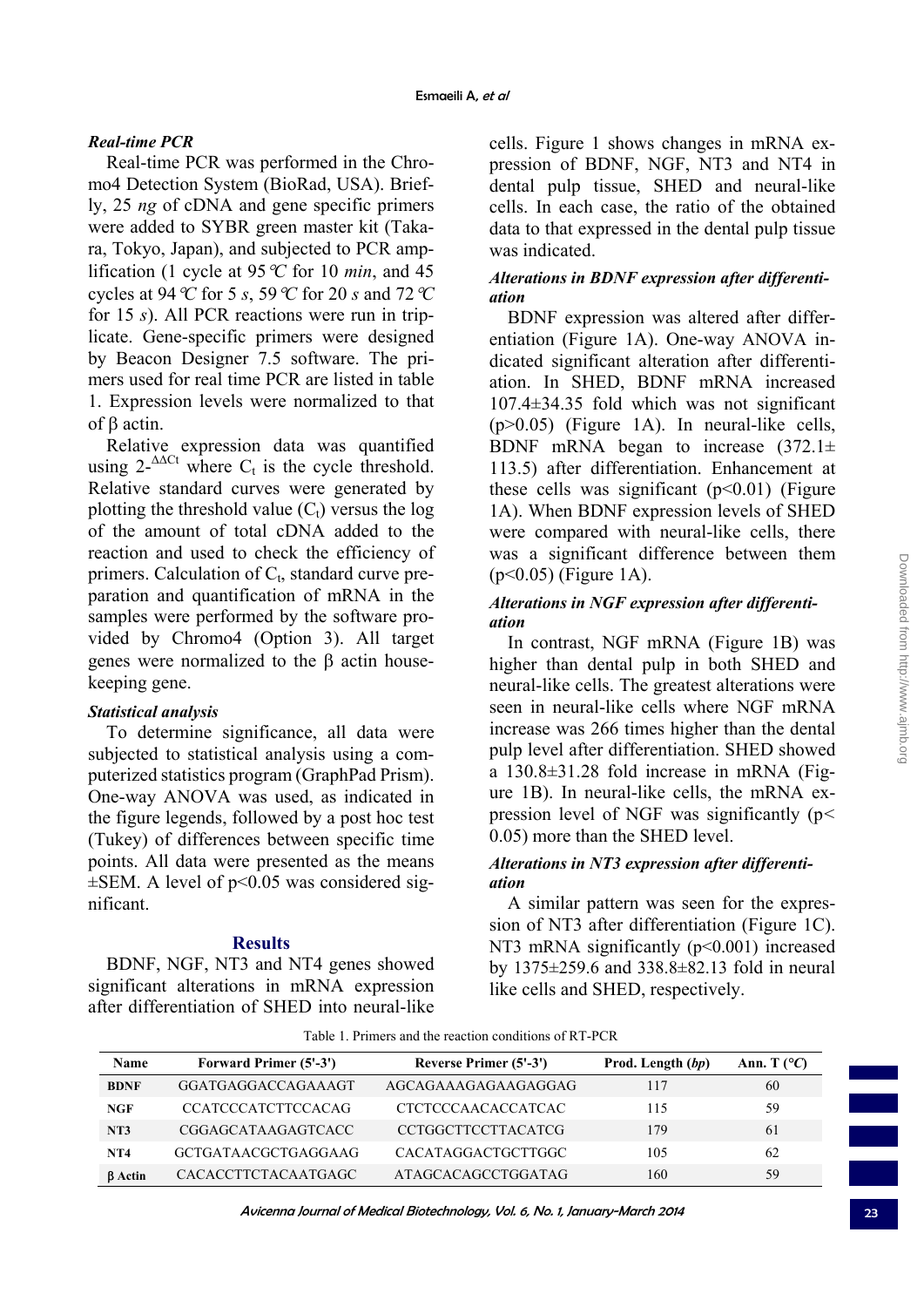# *Real-time PCR*

Real-time PCR was performed in the Chromo4 Detection System (BioRad, USA). Briefly, 25 *ng* of cDNA and gene specific primers were added to SYBR green master kit (Takara, Tokyo, Japan), and subjected to PCR amplification (1 cycle at 95  $\mathcal{C}$  for 10 *min*, and 45 cycles at 94°*C* for 5 *s*, 59°*C* for 20 *s* and 72°*C* for 15 *s*). All PCR reactions were run in triplicate. Gene-specific primers were designed by Beacon Designer 7.5 software. The primers used for real time PCR are listed in table 1. Expression levels were normalized to that of β actin.

Relative expression data was quantified using  $2^{-\Delta\Delta Ct}$  where  $C_t$  is the cycle threshold. Relative standard curves were generated by plotting the threshold value  $(C_t)$  versus the log of the amount of total cDNA added to the reaction and used to check the efficiency of primers. Calculation of  $C_t$ , standard curve preparation and quantification of mRNA in the samples were performed by the software provided by Chromo4 (Option 3). All target genes were normalized to the β actin housekeeping gene.

#### *Statistical analysis*

To determine significance, all data were subjected to statistical analysis using a computerized statistics program (GraphPad Prism). One-way ANOVA was used, as indicated in the figure legends, followed by a post hoc test (Tukey) of differences between specific time points. All data were presented as the means  $\pm$ SEM. A level of p<0.05 was considered significant.

# **Results**

BDNF, NGF, NT3 and NT4 genes showed significant alterations in mRNA expression after differentiation of SHED into neural-like

cells. Figure 1 shows changes in mRNA expression of BDNF, NGF, NT3 and NT4 in dental pulp tissue, SHED and neural-like cells. In each case, the ratio of the obtained data to that expressed in the dental pulp tissue was indicated.

# *Alterations in BDNF expression after differentiation*

BDNF expression was altered after differentiation (Figure 1A). One-way ANOVA indicated significant alteration after differentiation. In SHED, BDNF mRNA increased 107.4±34.35 fold which was not significant (p>0.05) (Figure 1A). In neural-like cells, BDNF mRNA began to increase  $(372.1 \pm$ 113.5) after differentiation. Enhancement at these cells was significant  $(p<0.01)$  (Figure 1A). When BDNF expression levels of SHED were compared with neural-like cells, there was a significant difference between them (p<0.05) (Figure 1A).

# *Alterations in NGF expression after differentiation*

In contrast, NGF mRNA (Figure 1B) was higher than dental pulp in both SHED and neural-like cells. The greatest alterations were seen in neural-like cells where NGF mRNA increase was 266 times higher than the dental pulp level after differentiation. SHED showed a 130.8±31.28 fold increase in mRNA (Figure 1B). In neural-like cells, the mRNA expression level of NGF was significantly (p*<*  0.05) more than the SHED level.

### *Alterations in NT3 expression after differentiation*

A similar pattern was seen for the expression of NT3 after differentiation (Figure 1C). NT3 mRNA significantly  $(p<0.001)$  increased by 1375±259.6 and 338.8±82.13 fold in neural like cells and SHED, respectively.

| Name            | <b>Forward Primer (5'-3')</b> | <b>Reverse Primer (5'-3')</b> | Prod. Length (bp) | Ann. T $(^{\circ}C)$ |
|-----------------|-------------------------------|-------------------------------|-------------------|----------------------|
| <b>BDNF</b>     | GGATGAGGACCAGAAAGT            | AGCAGAAAGAGAAGAGGAG           | 117               | 60                   |
| <b>NGF</b>      | <b>CCATCCCATCTTCCACAG</b>     | <b>CTCTCCCAACACCATCAC</b>     | 115               | 59                   |
| NT3             | CGGAGCATAAGAGTCACC            | <b>CCTGGCTTCCTTACATCG</b>     | 179               | 61                   |
| NT <sub>4</sub> | GCTGATAACGCTGAGGAAG           | CACATAGGACTGCTTGGC            | 105               | 62                   |
| <b>B</b> Actin  | <b>CACACCTTCTACAATGAGC</b>    | ATAGCACAGCCTGGATAG            | 160               | 59                   |

Table 1. Primers and the reaction conditions of RT-PCR

Avicenna Journal of Medical Biotechnology, Vol. 6, No. 1, January-March 2014 23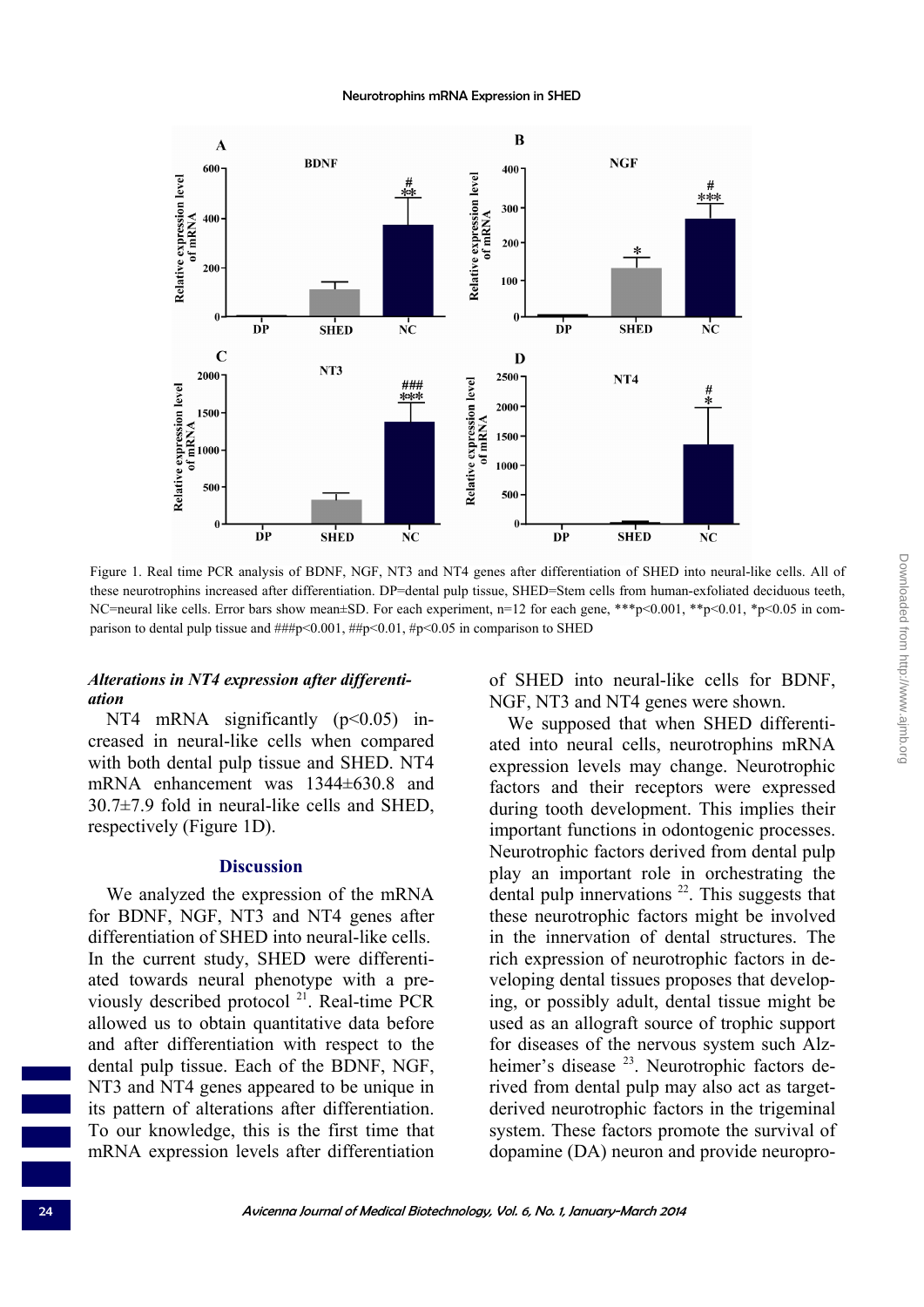

Figure 1. Real time PCR analysis of BDNF, NGF, NT3 and NT4 genes after differentiation of SHED into neural-like cells. All of these neurotrophins increased after differentiation. DP=dental pulp tissue, SHED=Stem cells from human-exfoliated deciduous teeth, NC=neural like cells. Error bars show mean±SD. For each experiment,  $n=12$  for each gene, \*\*\*p<0.001, \*\*p<0.01, \*p<0.05 in comparison to dental pulp tissue and ###p<0.001, ##p<0.01, #p<0.05 in comparison to SHED

### *Alterations in NT4 expression after differentiation*

NT4 mRNA significantly  $(p<0.05)$  increased in neural-like cells when compared with both dental pulp tissue and SHED. NT4 mRNA enhancement was 1344±630.8 and 30.7±7.9 fold in neural-like cells and SHED, respectively (Figure 1D).

#### **Discussion**

We analyzed the expression of the mRNA for BDNF, NGF, NT3 and NT4 genes after differentiation of SHED into neural-like cells. In the current study, SHED were differentiated towards neural phenotype with a previously described protocol 21. Real-time PCR allowed us to obtain quantitative data before and after differentiation with respect to the dental pulp tissue. Each of the BDNF, NGF, NT3 and NT4 genes appeared to be unique in its pattern of alterations after differentiation. To our knowledge, this is the first time that mRNA expression levels after differentiation

of SHED into neural-like cells for BDNF, NGF, NT3 and NT4 genes were shown.

We supposed that when SHED differentiated into neural cells, neurotrophins mRNA expression levels may change. Neurotrophic factors and their receptors were expressed during tooth development. This implies their important functions in odontogenic processes. Neurotrophic factors derived from dental pulp play an important role in orchestrating the dental pulp innervations  $22$ . This suggests that these neurotrophic factors might be involved in the innervation of dental structures. The rich expression of neurotrophic factors in developing dental tissues proposes that developing, or possibly adult, dental tissue might be used as an allograft source of trophic support for diseases of the nervous system such Alzheimer's disease <sup>23</sup>. Neurotrophic factors derived from dental pulp may also act as targetderived neurotrophic factors in the trigeminal system. These factors promote the survival of dopamine (DA) neuron and provide neuropro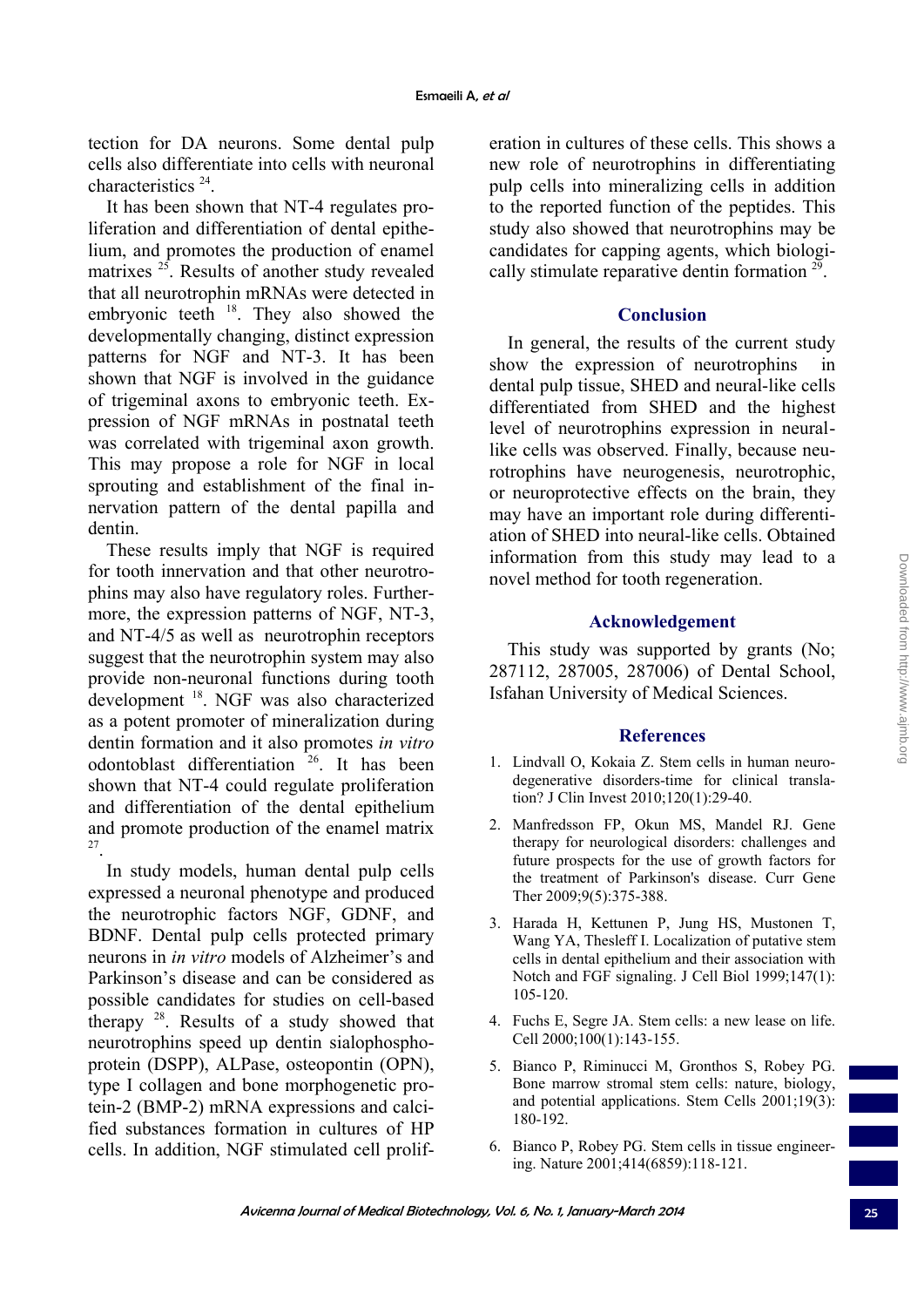tection for DA neurons. Some dental pulp cells also differentiate into cells with neuronal characteristics 24.

It has been shown that NT-4 regulates proliferation and differentiation of dental epithelium, and promotes the production of enamel matrixes <sup>25</sup>. Results of another study revealed that all neurotrophin mRNAs were detected in embryonic teeth  $18$ . They also showed the developmentally changing, distinct expression patterns for NGF and NT-3. It has been shown that NGF is involved in the guidance of trigeminal axons to embryonic teeth. Expression of NGF mRNAs in postnatal teeth was correlated with trigeminal axon growth. This may propose a role for NGF in local sprouting and establishment of the final innervation pattern of the dental papilla and dentin.

These results imply that NGF is required for tooth innervation and that other neurotrophins may also have regulatory roles. Furthermore, the expression patterns of NGF, NT-3, and NT-4/5 as well as neurotrophin receptors suggest that the neurotrophin system may also provide non-neuronal functions during tooth development 18. NGF was also characterized as a potent promoter of mineralization during dentin formation and it also promotes *in vitro* odontoblast differentiation <sup>26</sup>. It has been shown that NT-4 could regulate proliferation and differentiation of the dental epithelium and promote production of the enamel matrix 27.

In study models, human dental pulp cells expressed a neuronal phenotype and produced the neurotrophic factors NGF, GDNF, and BDNF. Dental pulp cells protected primary neurons in *in vitro* models of Alzheimer's and Parkinson's disease and can be considered as possible candidates for studies on cell-based therapy 28. Results of a study showed that neurotrophins speed up dentin sialophosphoprotein (DSPP), ALPase, osteopontin (OPN), type I collagen and bone morphogenetic protein-2 (BMP-2) mRNA expressions and calcified substances formation in cultures of HP cells. In addition, NGF stimulated cell proliferation in cultures of these cells. This shows a new role of neurotrophins in differentiating pulp cells into mineralizing cells in addition to the reported function of the peptides. This study also showed that neurotrophins may be candidates for capping agents, which biologically stimulate reparative dentin formation 29.

# **Conclusion**

In general, the results of the current study show the expression of neurotrophins in dental pulp tissue, SHED and neural-like cells differentiated from SHED and the highest level of neurotrophins expression in neurallike cells was observed. Finally, because neurotrophins have neurogenesis, neurotrophic, or neuroprotective effects on the brain, they may have an important role during differentiation of SHED into neural-like cells. Obtained information from this study may lead to a novel method for tooth regeneration.

### **Acknowledgement**

This study was supported by grants (No; 287112, 287005, 287006) of Dental School, Isfahan University of Medical Sciences.

# **References**

- 1. Lindvall O, Kokaia Z. Stem cells in human neurodegenerative disorders-time for clinical translation? J Clin Invest 2010;120(1):29-40.
- 2. Manfredsson FP, Okun MS, Mandel RJ. Gene therapy for neurological disorders: challenges and future prospects for the use of growth factors for the treatment of Parkinson's disease. Curr Gene Ther 2009;9(5):375-388.
- 3. Harada H, Kettunen P, Jung HS, Mustonen T, Wang YA, Thesleff I. Localization of putative stem cells in dental epithelium and their association with Notch and FGF signaling. J Cell Biol 1999;147(1): 105-120.
- 4. Fuchs E, Segre JA. Stem cells: a new lease on life. Cell 2000;100(1):143-155.
- 5. Bianco P, Riminucci M, Gronthos S, Robey PG. Bone marrow stromal stem cells: nature, biology, and potential applications. Stem Cells 2001;19(3): 180-192.
- 6. Bianco P, Robey PG. Stem cells in tissue engineering. Nature 2001;414(6859):118-121.